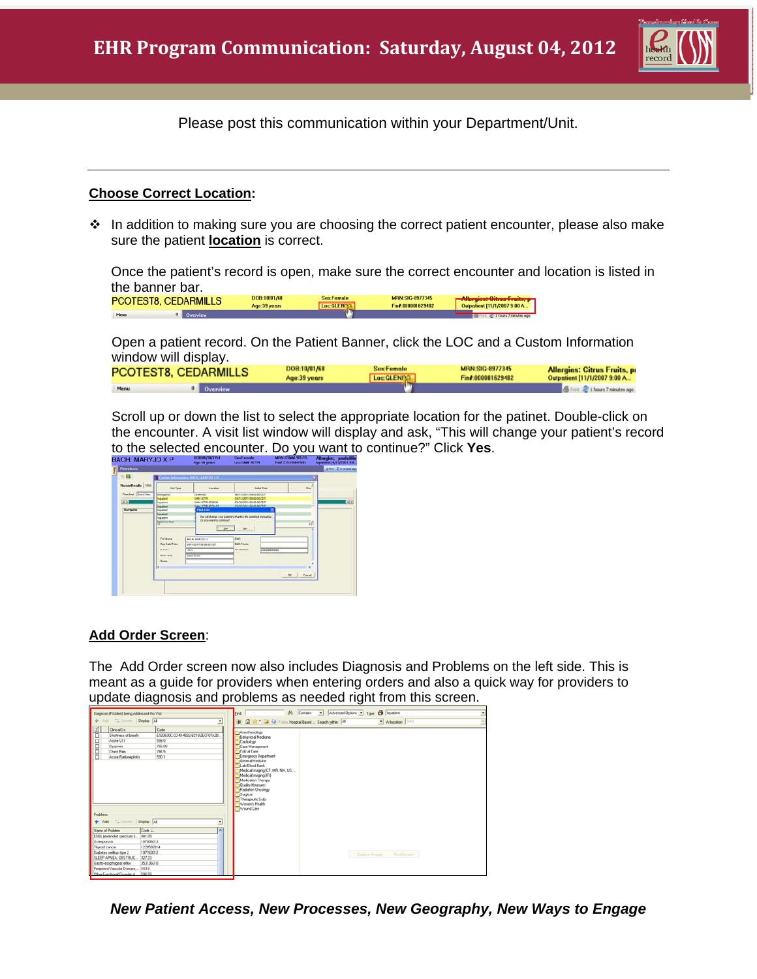

Please post this communication within your Department/Unit.

## **Choose Correct Location:**

 $\cdot \cdot$  In addition to making sure you are choosing the correct patient encounter, please also make sure the patient **location** is correct.

Once the patient's record is open, make sure the correct encounter and location is listed in the banner bar.

| PCOTEST8 CEDARMILLS | Age:39 years | Sex:Female<br>Loc GLEND® | <b>MRN:SIG-8977345</b><br>in#000001629482 | with the contract of the con-<br><b>THIOBICS VILLES LIBRS, PL</b><br>111/1/2007 9:00 A. |
|---------------------|--------------|--------------------------|-------------------------------------------|-----------------------------------------------------------------------------------------|
|                     |              |                          |                                           | 120 1 hours 7 minutes ago                                                               |

 Open a patient record. On the Patient Banner, click the LOC and a Custom Information window will display.

| <b>PCOTEST8, CEDARMILLS</b> |          | DOB 10/01/68 | <b>SexFemale</b> | <b>MRN:SIG-8977345</b> | <b>Allergies: Citrus Fruits, pr</b> |
|-----------------------------|----------|--------------|------------------|------------------------|-------------------------------------|
|                             |          | Age:39 years | Loc:GLENDA       | Fin#:000001629482      | Outpatient [11/1/2007 9:00 A        |
| Menu                        | Overview |              |                  |                        | the 2 1 hours 7 minutes ago         |

 Scroll up or down the list to select the appropriate location for the patinet. Double-click on the encounter. A visit list window will display and ask, "This will change your patient's record to the selected encounter. Do you want to continue?" Click **Yes**.

| <b>BACH, MARYJO X P</b>        |                                                                 | 13011 86/33/1954<br>Age 56 years                             | <b>Hart Female</b><br>Loo SMM ACTR                                                 | MINERATURE SITE/15<br>Find 235345847683 | Allergies: peoleittin<br>Impositored [A/11/2011 9:0 |
|--------------------------------|-----------------------------------------------------------------|--------------------------------------------------------------|------------------------------------------------------------------------------------|-----------------------------------------|-----------------------------------------------------|
| <b>Thresheats</b>              |                                                                 |                                                              |                                                                                    |                                         | <b>Gives: 2 Usersten age</b>                        |
| 0.52                           |                                                                 | Coriner Information, EADS, MARY 10 X P.                      |                                                                                    |                                         |                                                     |
| <b>Because Bassalts</b> Vitals | <b>Visit Types</b>                                              | Location                                                     | Adolf Date                                                                         | ыň                                      |                                                     |
| <b>Timilest</b> Quick View     | d nargely)                                                      | COMMED                                                       | DU14/2011 0R00/00 LD T                                                             |                                         |                                                     |
| $\overline{1212}$              | <b>Industries</b><br><b>Ingigation of</b><br><b>Inquirieure</b> | <b>CAIN ACTIVE</b><br>SAN ATTR 4530.00<br><b>BALYTE YWAY</b> | 64/11/2011 09:00:00 CD 0<br>students degearers.<br><b>SUSKINDY GLASSINGS</b>       |                                         | <b>Fix</b>                                          |
| Mavigator                      | Inputient<br><b>Inquirient</b>                                  | <b>Yield Lind</b>                                            |                                                                                    |                                         |                                                     |
|                                | ing grams<br><b>Informac Case</b><br>$\cdot$                    | De you want to continue?<br><b>COM</b>                       | This roll change your patient's chart to the selected anomation.<br>$\blacksquare$ | vil                                     | ÷                                                   |
|                                | Full Harne<br><b>Fee Esta Time</b><br>9.13.8                    | <b>BULK MARKETS</b><br>DARSSORT 08:00:00 CDT<br>74.5         | <b>Date</b><br>Fall Fixes<br>Fix Number<br><b>250546647965</b>                     |                                         |                                                     |
|                                | <b>Nuav pue</b><br><b>Busca</b>                                 | Statut at Titl                                               |                                                                                    |                                         |                                                     |
|                                |                                                                 |                                                              |                                                                                    | $x +$<br><b>Carol</b>                   |                                                     |

## **Add Order Screen**:

The Add Order screen now also includes Diagnosis and Problems on the left side. This is meant as a guide for providers when entering orders and also a quick way for providers to update diagnosis and problems as needed right from this screen.

| Diagnosis (Ptoblem) being Addressed this Visit<br>$\rightarrow$<br>Add *** Convert   Display: All<br>Clinical Dx<br>Shotness of breath | 븨<br>Code<br>E993630C-CD40-4832-8218-2ECF07A28 | Contains v Advanced Options v Type: Cu Tripatient<br>尚<br><b>End:</b><br>트<br>Tal St - Cal Fai Folder Hospital Based  Search within: 48<br>a.<br>- At location: SMO<br><b>Anesthesiology</b><br>Behavioral Medicine                                                                                               |
|----------------------------------------------------------------------------------------------------------------------------------------|------------------------------------------------|-------------------------------------------------------------------------------------------------------------------------------------------------------------------------------------------------------------------------------------------------------------------------------------------------------------------|
| <b>Community</b><br>Acute UTI<br>Dyspnea<br><b>Check Pain</b><br>Acute Puelcrechtis<br>Problems<br>$+$ Add<br>Convert Display. All     | 599.0<br>786.09<br>786.5<br>590.1<br>크         | Cardiology<br>Case Management<br>Critical Care<br>Emergency Department<br>General Medicine<br>Lab/Blood Bank<br>Medical Imaging (CT, MR, NM, US,<br>Medical Imaging (IR)<br>Medication Therapy<br><b>Quality Measures</b><br>Radiation Oncology<br>Surgical<br>Therapeutic Subs<br>(Women's Health<br>TWound Care |
| Name of Problem                                                                                                                        | Code L<br>ᅒ<br>041.09                          |                                                                                                                                                                                                                                                                                                                   |
| ESEL (extended spectrum b.<br>Osteoporosis                                                                                             | 107006013                                      |                                                                                                                                                                                                                                                                                                                   |
| Thyroid cancer                                                                                                                         | 1220552014                                     |                                                                                                                                                                                                                                                                                                                   |
| Diabetes melitus type 2                                                                                                                | 197763012                                      | Capture Image<br>Print Screen                                                                                                                                                                                                                                                                                     |
| SLEEP APNEA, OBSTRUC.                                                                                                                  | 327.23                                         |                                                                                                                                                                                                                                                                                                                   |
| Gasto-escohageal reflux                                                                                                                | 353136010                                      |                                                                                                                                                                                                                                                                                                                   |
| Peripheral Vascular Disease                                                                                                            | 443.9                                          |                                                                                                                                                                                                                                                                                                                   |
| Other Functional Disorder of                                                                                                           | 630.69                                         |                                                                                                                                                                                                                                                                                                                   |

*New Patient Access, New Processes, New Geography, New Ways to Engage*